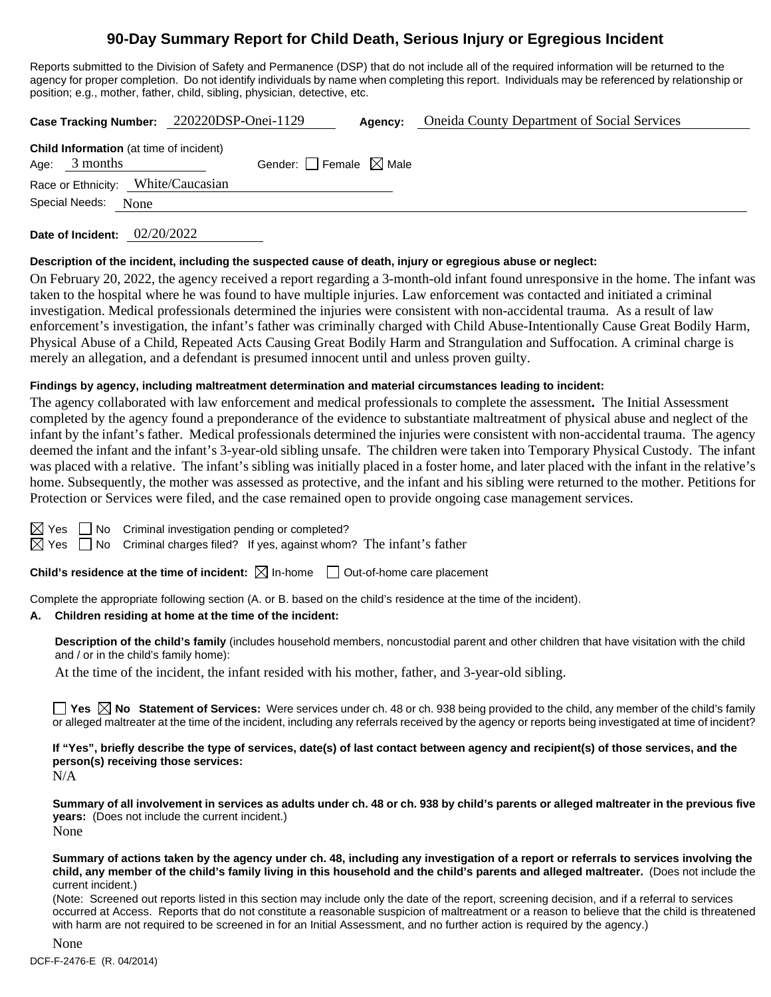# **90-Day Summary Report for Child Death, Serious Injury or Egregious Incident**

Reports submitted to the Division of Safety and Permanence (DSP) that do not include all of the required information will be returned to the agency for proper completion. Do not identify individuals by name when completing this report. Individuals may be referenced by relationship or position; e.g., mother, father, child, sibling, physician, detective, etc.

|                 |                                                | Case Tracking Number: 220220DSP-Onei-1129 | Agency: | <b>Oneida County Department of Social Services</b> |
|-----------------|------------------------------------------------|-------------------------------------------|---------|----------------------------------------------------|
| Age: $3$ months | <b>Child Information</b> (at time of incident) | Gender: $\Box$ Female $\boxtimes$ Male    |         |                                                    |
| Special Needs:  | Race or Ethnicity: White/Caucasian<br>None     |                                           |         |                                                    |

**Date of Incident:** 02/20/2022

#### **Description of the incident, including the suspected cause of death, injury or egregious abuse or neglect:**

On February 20, 2022, the agency received a report regarding a 3-month-old infant found unresponsive in the home. The infant was taken to the hospital where he was found to have multiple injuries. Law enforcement was contacted and initiated a criminal investigation. Medical professionals determined the injuries were consistent with non-accidental trauma. As a result of law enforcement's investigation, the infant's father was criminally charged with Child Abuse-Intentionally Cause Great Bodily Harm, Physical Abuse of a Child, Repeated Acts Causing Great Bodily Harm and Strangulation and Suffocation. A criminal charge is merely an allegation, and a defendant is presumed innocent until and unless proven guilty.

## **Findings by agency, including maltreatment determination and material circumstances leading to incident:**

The agency collaborated with law enforcement and medical professionals to complete the assessment**.** The Initial Assessment completed by the agency found a preponderance of the evidence to substantiate maltreatment of physical abuse and neglect of the infant by the infant's father.Medical professionals determined the injuries were consistent with non-accidental trauma. The agency deemed the infant and the infant's 3-year-old sibling unsafe. The children were taken into Temporary Physical Custody. The infant was placed with a relative. The infant's sibling was initially placed in a foster home, and later placed with the infant in the relative's home. Subsequently, the mother was assessed as protective, and the infant and his sibling were returned to the mother. Petitions for Protection or Services were filed, and the case remained open to provide ongoing case management services.

No Criminal investigation pending or completed?

 $\Box$  No Criminal charges filed? If yes, against whom? The infant's father

**Child's residence at the time of incident:**  $\boxtimes$  In-home  $\Box$  Out-of-home care placement

Complete the appropriate following section (A. or B. based on the child's residence at the time of the incident).

## **A. Children residing at home at the time of the incident:**

**Description of the child's family** (includes household members, noncustodial parent and other children that have visitation with the child and / or in the child's family home):

At the time of the incident, the infant resided with his mother, father, and 3-year-old sibling.

**Yes**  $\boxtimes$  **No** Statement of Services: Were services under ch. 48 or ch. 938 being provided to the child, any member of the child's family or alleged maltreater at the time of the incident, including any referrals received by the agency or reports being investigated at time of incident?

**If "Yes", briefly describe the type of services, date(s) of last contact between agency and recipient(s) of those services, and the person(s) receiving those services:**

N/A

**Summary of all involvement in services as adults under ch. 48 or ch. 938 by child's parents or alleged maltreater in the previous five years:** (Does not include the current incident.) None

**Summary of actions taken by the agency under ch. 48, including any investigation of a report or referrals to services involving the child, any member of the child's family living in this household and the child's parents and alleged maltreater.** (Does not include the current incident.)

(Note: Screened out reports listed in this section may include only the date of the report, screening decision, and if a referral to services occurred at Access. Reports that do not constitute a reasonable suspicion of maltreatment or a reason to believe that the child is threatened with harm are not required to be screened in for an Initial Assessment, and no further action is required by the agency.)

DCF-F-2476-E (R. 04/2014) None